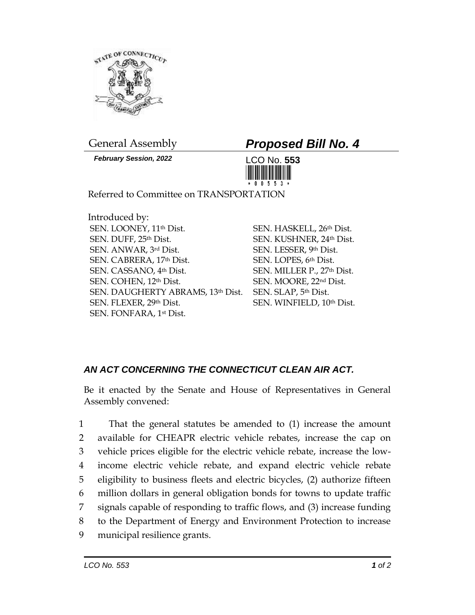

*February Session, 2022* LCO No. **553**

## General Assembly *Proposed Bill No. 4*



Referred to Committee on TRANSPORTATION

Introduced by: SEN. LOONEY, 11th Dist. SEN. DUFF, 25th Dist. SEN. ANWAR, 3rd Dist. SEN. CABRERA, 17th Dist. SEN. CASSANO, 4th Dist. SEN. COHEN, 12th Dist. SEN. DAUGHERTY ABRAMS, 13th Dist. SEN. FLEXER, 29th Dist. SEN. FONFARA, 1st Dist.

SEN. HASKELL, 26th Dist. SEN. KUSHNER, 24th Dist. SEN. LESSER, 9th Dist. SEN. LOPES, 6th Dist. SEN. MILLER P., 27th Dist. SEN. MOORE, 22nd Dist. SEN. SLAP, 5th Dist. SEN. WINFIELD, 10th Dist.

## *AN ACT CONCERNING THE CONNECTICUT CLEAN AIR ACT.*

Be it enacted by the Senate and House of Representatives in General Assembly convened:

 That the general statutes be amended to (1) increase the amount available for CHEAPR electric vehicle rebates, increase the cap on vehicle prices eligible for the electric vehicle rebate, increase the low- income electric vehicle rebate, and expand electric vehicle rebate eligibility to business fleets and electric bicycles, (2) authorize fifteen million dollars in general obligation bonds for towns to update traffic signals capable of responding to traffic flows, and (3) increase funding to the Department of Energy and Environment Protection to increase municipal resilience grants.